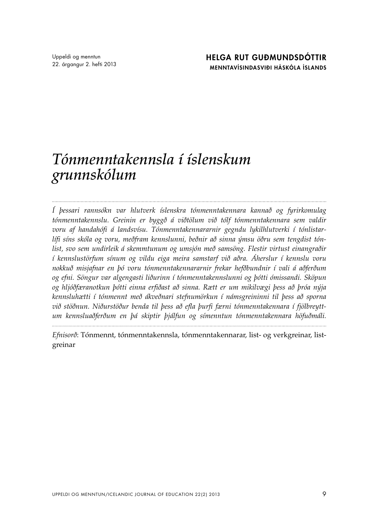## *Tónmenntakennsla í íslenskum grunnskólum*

*Í þessari rannsókn var hlutverk íslenskra tónmenntakennara kannað og fyrirkomulag tónmenntakennslu. Greinin er byggð á viðtölum við tólf tónmenntakennara sem valdir voru af handahófi á landsvísu. Tónmenntakennararnir gegndu lykilhlutverki í tónlistarlífi síns skóla og voru, meðfram kennslunni, beðnir að sinna ýmsu öðru sem tengdist tónlist, svo sem undirleik á skemmtunum og umsjón með samsöng. Flestir virtust einangraðir í kennslustörfum sínum og vildu eiga meira samstarf við aðra. Áherslur í kennslu voru nokkuð misjafnar en þó voru tónmenntakennararnir frekar hefðbundnir í vali á aðferðum og efni. Söngur var algengasti liðurinn í tónmenntakennslunni og þótti ómissandi. Sköpun og hljóðfæranotkun þótti einna erfiðast að sinna. Rætt er um mikilvægi þess að þróa nýja kennsluhætti í tónmennt með ákveðnari stefnumörkun í námsgreininni til þess að sporna við stöðnun. Niðurstöður benda til þess að efla þurfi færni tónmenntakennara í fjölbreyttum kennsluaðferðum en þá skiptir þjálfun og símenntun tónmenntakennara höfuðmáli.*

*Efnisorð*: Tónmennt, tónmenntakennsla, tónmenntakennarar, list- og verkgreinar, listgreinar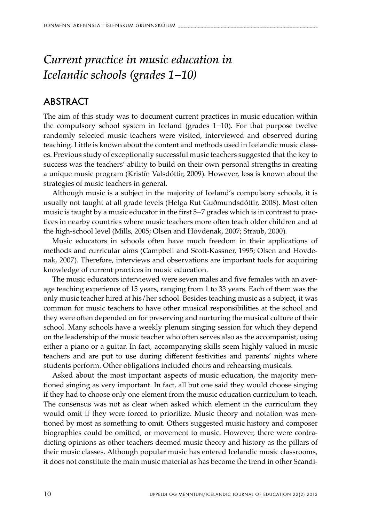## *Current practice in music education in Icelandic schools (grades 1−10)*

## **ABSTRACT**

The aim of this study was to document current practices in music education within the compulsory school system in Iceland (grades 1−10). For that purpose twelve randomly selected music teachers were visited, interviewed and observed during teaching. Little is known about the content and methods used in Icelandic music classes. Previous study of exceptionally successful music teachers suggested that the key to success was the teachers' ability to build on their own personal strengths in creating a unique music program (Kristín Valsdóttir, 2009). However, less is known about the strategies of music teachers in general.

Although music is a subject in the majority of Iceland's compulsory schools, it is usually not taught at all grade levels (Helga Rut Guðmundsdóttir, 2008). Most often music is taught by a music educator in the first 5−7 grades which is in contrast to practices in nearby countries where music teachers more often teach older children and at the high-school level (Mills, 2005; Olsen and Hovdenak, 2007; Straub, 2000).

Music educators in schools often have much freedom in their applications of methods and curricular aims (Campbell and Scott-Kassner, 1995; Olsen and Hovdenak, 2007). Therefore, interviews and observations are important tools for acquiring knowledge of current practices in music education.

The music educators interviewed were seven males and five females with an average teaching experience of 15 years, ranging from 1 to 33 years. Each of them was the only music teacher hired at his/her school. Besides teaching music as a subject, it was common for music teachers to have other musical responsibilities at the school and they were often depended on for preserving and nurturing the musical culture of their school. Many schools have a weekly plenum singing session for which they depend on the leadership of the music teacher who often serves also as the accompanist, using either a piano or a guitar. In fact, accompanying skills seem highly valued in music teachers and are put to use during different festivities and parents' nights where students perform. Other obligations included choirs and rehearsing musicals.

Asked about the most important aspects of music education, the majority mentioned singing as very important. In fact, all but one said they would choose singing if they had to choose only one element from the music education curriculum to teach. The consensus was not as clear when asked which element in the curriculum they would omit if they were forced to prioritize. Music theory and notation was mentioned by most as something to omit. Others suggested music history and composer biographies could be omitted, or movement to music. However, there were contradicting opinions as other teachers deemed music theory and history as the pillars of their music classes. Although popular music has entered Icelandic music classrooms, it does not constitute the main music material as has become the trend in other Scandi